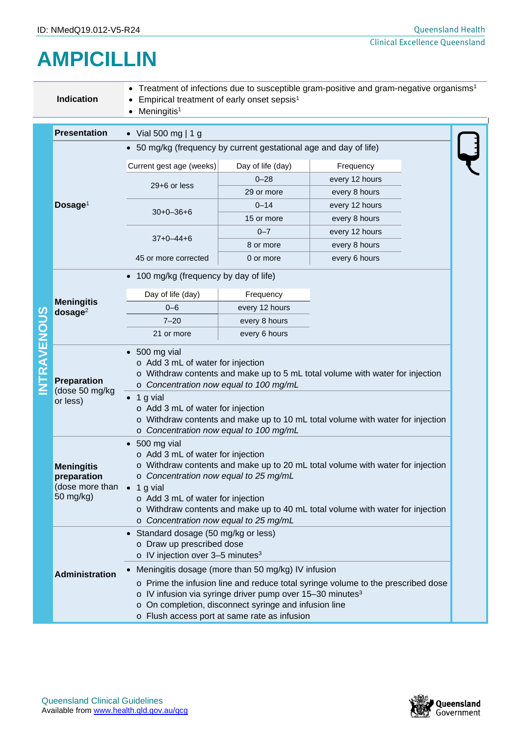## **AMPICILLIN**

|   | Indication                                                                  | Treatment of infections due to susceptible gram-positive and gram-negative organisms <sup>1</sup><br>Empirical treatment of early onset sepsis <sup>1</sup><br>Meningitis <sup>1</sup>                                                                                                                                                                                                                                                                 |                   |                |  |  |  |
|---|-----------------------------------------------------------------------------|--------------------------------------------------------------------------------------------------------------------------------------------------------------------------------------------------------------------------------------------------------------------------------------------------------------------------------------------------------------------------------------------------------------------------------------------------------|-------------------|----------------|--|--|--|
|   | <b>Presentation</b>                                                         | • Vial 500 mg   1 g                                                                                                                                                                                                                                                                                                                                                                                                                                    |                   |                |  |  |  |
|   |                                                                             | • 50 mg/kg (frequency by current gestational age and day of life)                                                                                                                                                                                                                                                                                                                                                                                      |                   |                |  |  |  |
|   | Dosage <sup>1</sup>                                                         | Current gest age (weeks)                                                                                                                                                                                                                                                                                                                                                                                                                               | Day of life (day) | Frequency      |  |  |  |
|   |                                                                             | 29+6 or less                                                                                                                                                                                                                                                                                                                                                                                                                                           | $0 - 28$          | every 12 hours |  |  |  |
|   |                                                                             |                                                                                                                                                                                                                                                                                                                                                                                                                                                        | 29 or more        | every 8 hours  |  |  |  |
|   |                                                                             | $30+0-36+6$                                                                                                                                                                                                                                                                                                                                                                                                                                            | $0 - 14$          | every 12 hours |  |  |  |
|   |                                                                             |                                                                                                                                                                                                                                                                                                                                                                                                                                                        | 15 or more        | every 8 hours  |  |  |  |
|   |                                                                             | $37+0-44+6$                                                                                                                                                                                                                                                                                                                                                                                                                                            | $0 - 7$           | every 12 hours |  |  |  |
|   |                                                                             |                                                                                                                                                                                                                                                                                                                                                                                                                                                        | 8 or more         | every 8 hours  |  |  |  |
|   |                                                                             | 45 or more corrected                                                                                                                                                                                                                                                                                                                                                                                                                                   | 0 or more         | every 6 hours  |  |  |  |
|   |                                                                             | • 100 mg/kg (frequency by day of life)                                                                                                                                                                                                                                                                                                                                                                                                                 |                   |                |  |  |  |
|   |                                                                             | Day of life (day)                                                                                                                                                                                                                                                                                                                                                                                                                                      | Frequency         |                |  |  |  |
|   | <b>Meningitis</b><br>$d$ osage $2$                                          | $0 - 6$                                                                                                                                                                                                                                                                                                                                                                                                                                                | every 12 hours    |                |  |  |  |
|   |                                                                             | $7 - 20$                                                                                                                                                                                                                                                                                                                                                                                                                                               | every 8 hours     |                |  |  |  |
|   |                                                                             | 21 or more                                                                                                                                                                                                                                                                                                                                                                                                                                             | every 6 hours     |                |  |  |  |
| π | Preparation<br>(dose 50 mg/kg<br>or less)                                   | $\bullet$ 500 mg vial<br>o Add 3 mL of water for injection<br>o Withdraw contents and make up to 5 mL total volume with water for injection<br>o Concentration now equal to 100 mg/mL<br>$\bullet$ 1 g vial<br>o Add 3 mL of water for injection<br>$\circ$ Withdraw contents and make up to 10 mL total volume with water for injection<br>o Concentration now equal to 100 mg/mL                                                                     |                   |                |  |  |  |
|   | <b>Meningitis</b><br>preparation<br>(dose more than • 1 g vial<br>50 mg/kg) | $\bullet$ 500 mg vial<br>o Add 3 mL of water for injection<br>o Withdraw contents and make up to 20 mL total volume with water for injection<br>o Concentration now equal to 25 mg/mL<br>o Add 3 mL of water for injection<br>$\circ$ Withdraw contents and make up to 40 mL total volume with water for injection<br>o Concentration now equal to 25 mg/mL                                                                                            |                   |                |  |  |  |
|   | Administration                                                              | • Standard dosage (50 mg/kg or less)<br>o Draw up prescribed dose<br>$\circ$ IV injection over 3-5 minutes <sup>3</sup><br>Meningitis dosage (more than 50 mg/kg) IV infusion<br>o Prime the infusion line and reduce total syringe volume to the prescribed dose<br>o IV infusion via syringe driver pump over 15-30 minutes <sup>3</sup><br>On completion, disconnect syringe and infusion line<br>O<br>o Flush access port at same rate as infusion |                   |                |  |  |  |



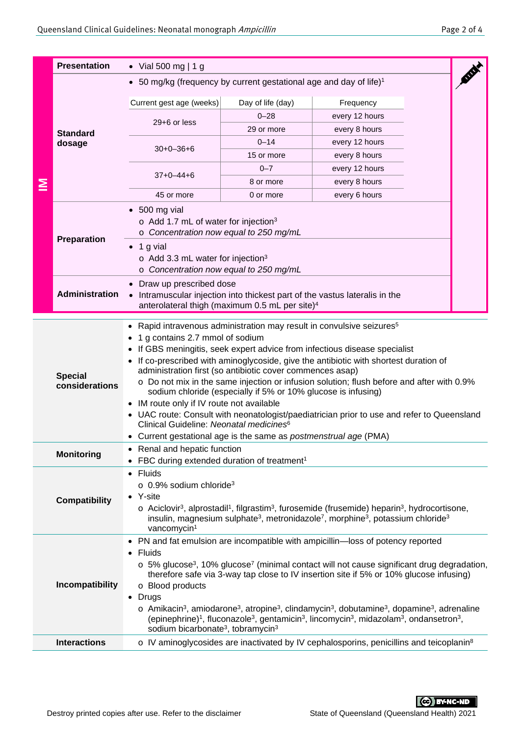|                                                                                                                                                                                                                                                                                                                                                                                                                | <b>Presentation</b>              | • Vial 500 mg   1 g                                                                                                                                                                                                                                                                                                                                                                                                                                                                                                                                                                                                                                                                                                                                                                                 |                                                           |                                                                                                                                                                                                                                                                                                                                                                                                                                                                                                                                                                                                                                                       |  |  |  |
|----------------------------------------------------------------------------------------------------------------------------------------------------------------------------------------------------------------------------------------------------------------------------------------------------------------------------------------------------------------------------------------------------------------|----------------------------------|-----------------------------------------------------------------------------------------------------------------------------------------------------------------------------------------------------------------------------------------------------------------------------------------------------------------------------------------------------------------------------------------------------------------------------------------------------------------------------------------------------------------------------------------------------------------------------------------------------------------------------------------------------------------------------------------------------------------------------------------------------------------------------------------------------|-----------------------------------------------------------|-------------------------------------------------------------------------------------------------------------------------------------------------------------------------------------------------------------------------------------------------------------------------------------------------------------------------------------------------------------------------------------------------------------------------------------------------------------------------------------------------------------------------------------------------------------------------------------------------------------------------------------------------------|--|--|--|
| ≧                                                                                                                                                                                                                                                                                                                                                                                                              |                                  | • 50 mg/kg (frequency by current gestational age and day of life) <sup>1</sup>                                                                                                                                                                                                                                                                                                                                                                                                                                                                                                                                                                                                                                                                                                                      |                                                           |                                                                                                                                                                                                                                                                                                                                                                                                                                                                                                                                                                                                                                                       |  |  |  |
|                                                                                                                                                                                                                                                                                                                                                                                                                | <b>Standard</b><br>dosage        |                                                                                                                                                                                                                                                                                                                                                                                                                                                                                                                                                                                                                                                                                                                                                                                                     |                                                           |                                                                                                                                                                                                                                                                                                                                                                                                                                                                                                                                                                                                                                                       |  |  |  |
|                                                                                                                                                                                                                                                                                                                                                                                                                |                                  | Current gest age (weeks)                                                                                                                                                                                                                                                                                                                                                                                                                                                                                                                                                                                                                                                                                                                                                                            | Day of life (day)                                         | Frequency                                                                                                                                                                                                                                                                                                                                                                                                                                                                                                                                                                                                                                             |  |  |  |
|                                                                                                                                                                                                                                                                                                                                                                                                                |                                  | $29+6$ or less                                                                                                                                                                                                                                                                                                                                                                                                                                                                                                                                                                                                                                                                                                                                                                                      | $0 - 28$                                                  | every 12 hours                                                                                                                                                                                                                                                                                                                                                                                                                                                                                                                                                                                                                                        |  |  |  |
|                                                                                                                                                                                                                                                                                                                                                                                                                |                                  |                                                                                                                                                                                                                                                                                                                                                                                                                                                                                                                                                                                                                                                                                                                                                                                                     | 29 or more                                                | every 8 hours                                                                                                                                                                                                                                                                                                                                                                                                                                                                                                                                                                                                                                         |  |  |  |
|                                                                                                                                                                                                                                                                                                                                                                                                                |                                  | $30+0-36+6$<br>$37+0-44+6$                                                                                                                                                                                                                                                                                                                                                                                                                                                                                                                                                                                                                                                                                                                                                                          | $0 - 14$                                                  | every 12 hours                                                                                                                                                                                                                                                                                                                                                                                                                                                                                                                                                                                                                                        |  |  |  |
|                                                                                                                                                                                                                                                                                                                                                                                                                |                                  |                                                                                                                                                                                                                                                                                                                                                                                                                                                                                                                                                                                                                                                                                                                                                                                                     | 15 or more                                                | every 8 hours                                                                                                                                                                                                                                                                                                                                                                                                                                                                                                                                                                                                                                         |  |  |  |
|                                                                                                                                                                                                                                                                                                                                                                                                                |                                  |                                                                                                                                                                                                                                                                                                                                                                                                                                                                                                                                                                                                                                                                                                                                                                                                     | $0 - 7$                                                   | every 12 hours                                                                                                                                                                                                                                                                                                                                                                                                                                                                                                                                                                                                                                        |  |  |  |
|                                                                                                                                                                                                                                                                                                                                                                                                                |                                  |                                                                                                                                                                                                                                                                                                                                                                                                                                                                                                                                                                                                                                                                                                                                                                                                     | 8 or more                                                 | every 8 hours                                                                                                                                                                                                                                                                                                                                                                                                                                                                                                                                                                                                                                         |  |  |  |
|                                                                                                                                                                                                                                                                                                                                                                                                                |                                  | 45 or more                                                                                                                                                                                                                                                                                                                                                                                                                                                                                                                                                                                                                                                                                                                                                                                          | 0 or more                                                 | every 6 hours                                                                                                                                                                                                                                                                                                                                                                                                                                                                                                                                                                                                                                         |  |  |  |
|                                                                                                                                                                                                                                                                                                                                                                                                                | Preparation                      | $\bullet$ 500 mg vial<br>$\circ$ Add 1.7 mL of water for injection <sup>3</sup><br>o Concentration now equal to 250 mg/mL<br>1 g vial<br>$\circ$ Add 3.3 mL water for injection <sup>3</sup><br>o Concentration now equal to 250 mg/mL                                                                                                                                                                                                                                                                                                                                                                                                                                                                                                                                                              |                                                           |                                                                                                                                                                                                                                                                                                                                                                                                                                                                                                                                                                                                                                                       |  |  |  |
|                                                                                                                                                                                                                                                                                                                                                                                                                | Administration                   | Draw up prescribed dose<br>• Intramuscular injection into thickest part of the vastus lateralis in the<br>anterolateral thigh (maximum 0.5 mL per site) <sup>4</sup>                                                                                                                                                                                                                                                                                                                                                                                                                                                                                                                                                                                                                                |                                                           |                                                                                                                                                                                                                                                                                                                                                                                                                                                                                                                                                                                                                                                       |  |  |  |
|                                                                                                                                                                                                                                                                                                                                                                                                                | <b>Special</b><br>considerations | • Rapid intravenous administration may result in convulsive seizures <sup>5</sup><br>1 g contains 2.7 mmol of sodium<br>• If GBS meningitis, seek expert advice from infectious disease specialist<br>• If co-prescribed with aminoglycoside, give the antibiotic with shortest duration of<br>administration first (so antibiotic cover commences asap)<br>o Do not mix in the same injection or infusion solution; flush before and after with 0.9%<br>sodium chloride (especially if 5% or 10% glucose is infusing)<br>• IM route only if IV route not available<br>• UAC route: Consult with neonatologist/paediatrician prior to use and refer to Queensland<br>Clinical Guideline: Neonatal medicines <sup>6</sup><br>• Current gestational age is the same as <i>postmenstrual age</i> (PMA) |                                                           |                                                                                                                                                                                                                                                                                                                                                                                                                                                                                                                                                                                                                                                       |  |  |  |
|                                                                                                                                                                                                                                                                                                                                                                                                                | <b>Monitoring</b>                | Renal and hepatic function<br>FBC during extended duration of treatment <sup>1</sup>                                                                                                                                                                                                                                                                                                                                                                                                                                                                                                                                                                                                                                                                                                                |                                                           |                                                                                                                                                                                                                                                                                                                                                                                                                                                                                                                                                                                                                                                       |  |  |  |
| • Fluids<br>$\circ$ 0.9% sodium chloride <sup>3</sup><br>• Y-site<br><b>Compatibility</b><br>$\circ$ Aciclovir <sup>3</sup> , alprostadil <sup>1</sup> , filgrastim <sup>3</sup> , furosemide (frusemide) heparin <sup>3</sup> , hydrocortisone,<br>insulin, magnesium sulphate <sup>3</sup> , metronidazole <sup>7</sup> , morphine <sup>3</sup> , potassium chloride <sup>3</sup><br>vancomycin <sup>1</sup> |                                  |                                                                                                                                                                                                                                                                                                                                                                                                                                                                                                                                                                                                                                                                                                                                                                                                     |                                                           |                                                                                                                                                                                                                                                                                                                                                                                                                                                                                                                                                                                                                                                       |  |  |  |
| Fluids<br>$\bullet$<br>Incompatibility<br>o Blood products<br>• Drugs<br><b>Interactions</b>                                                                                                                                                                                                                                                                                                                   |                                  |                                                                                                                                                                                                                                                                                                                                                                                                                                                                                                                                                                                                                                                                                                                                                                                                     | sodium bicarbonate <sup>3</sup> , tobramycin <sup>3</sup> | • PN and fat emulsion are incompatible with ampicillin—loss of potency reported<br>$\circ$ 5% glucose <sup>3</sup> , 10% glucose <sup>7</sup> (minimal contact will not cause significant drug degradation,<br>therefore safe via 3-way tap close to IV insertion site if 5% or 10% glucose infusing)<br>$\circ$ Amikacin <sup>3</sup> , amiodarone <sup>3</sup> , atropine <sup>3</sup> , clindamycin <sup>3</sup> , dobutamine <sup>3</sup> , dopamine <sup>3</sup> , adrenaline<br>(epinephrine) <sup>1</sup> , fluconazole <sup>3</sup> , gentamicin <sup>3</sup> , lincomycin <sup>3</sup> , midazolam <sup>3</sup> , ondansetron <sup>3</sup> , |  |  |  |
|                                                                                                                                                                                                                                                                                                                                                                                                                |                                  | o IV aminoglycosides are inactivated by IV cephalosporins, penicillins and teicoplanin <sup>8</sup>                                                                                                                                                                                                                                                                                                                                                                                                                                                                                                                                                                                                                                                                                                 |                                                           |                                                                                                                                                                                                                                                                                                                                                                                                                                                                                                                                                                                                                                                       |  |  |  |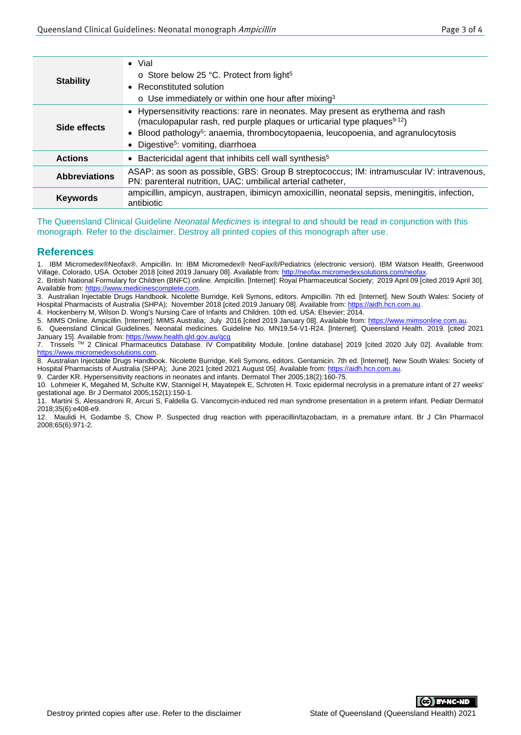| <b>Stability</b>                                                                                                               | $\bullet$ Vial<br>$\circ$ Store below 25 °C. Protect from light <sup>5</sup><br>• Reconstituted solution<br>$\circ$ Use immediately or within one hour after mixing <sup>3</sup>                                                                                                                                            |  |
|--------------------------------------------------------------------------------------------------------------------------------|-----------------------------------------------------------------------------------------------------------------------------------------------------------------------------------------------------------------------------------------------------------------------------------------------------------------------------|--|
| Side effects                                                                                                                   | • Hypersensitivity reactions: rare in neonates. May present as erythema and rash<br>(maculopapular rash, red purple plaques or urticarial type plaques <sup>9-12</sup> )<br>• Blood pathology <sup>5</sup> : anaemia, thrombocytopaenia, leucopoenia, and agranulocytosis<br>• Digestive <sup>5</sup> : vomiting, diarrhoea |  |
| <b>Actions</b>                                                                                                                 | • Bactericidal agent that inhibits cell wall synthesis <sup>5</sup>                                                                                                                                                                                                                                                         |  |
| <b>Abbreviations</b>                                                                                                           | ASAP: as soon as possible, GBS: Group B streptococcus; IM: intramuscular IV: intravenous,<br>PN: parenteral nutrition, UAC: umbilical arterial catheter,                                                                                                                                                                    |  |
| ampicillin, ampicyn, austrapen, ibimicyn amoxicillin, neonatal sepsis, meningitis, infection,<br><b>Keywords</b><br>antibiotic |                                                                                                                                                                                                                                                                                                                             |  |
|                                                                                                                                |                                                                                                                                                                                                                                                                                                                             |  |

The Queensland Clinical Guideline *Neonatal Medicines* is integral to and should be read in conjunction with this monograph. Refer to the disclaimer. Destroy all printed copies of this monograph after use.

## **References**

1. IBM Micromedex®Neofax®. Ampicillin. In: IBM Micromedex® NeoFax®/Pediatrics (electronic version). IBM Watson Health, Greenwood Village, Colorado, USA. October 2018 [cited 2019 January 08]. Available from[: http://neofax.micromedexsolutions.com/neofax.](http://neofax.micromedexsolutions.com/neofax)

2. British National Formulary for Children (BNFC) online. Ampicillin. [Internet]: Royal Pharmaceutical Society; 2019 April 09 [cited 2019 April 30]. Available from[: https://www.medicinescomplete.com.](https://www.medicinescomplete.com/)

3. Australian Injectable Drugs Handbook. Nicolette Burridge, Keli Symons, editors. Ampicillin. 7th ed. [Internet]. New South Wales: Society of Hospital Pharmacists of Australia (SHPA); November 2018 [cited 2019 January 08]. Available from: [https://aidh.hcn.com.au.](https://aidh.hcn.com.au/)

4. Hockenberry M, Wilson D. Wong's Nursing Care of Infants and Children. 10th ed. USA: Elsevier; 2014.

5. MIMS Online. Ampicillin. [Internet]: MIMS Australia; July 2016 [cited 2019 January 08]. Available from: [https://www.mimsonline.com.au.](https://www.mimsonline.com.au/)

6. Queensland Clinical Guidelines. Neonatal medicines. Guideline No. MN19.54-V1-R24. [Internet]. Queensland Health. 2019. [cited 2021 January 15]. Available from:<https://www.health.qld.gov.au/qcg>

<sub>candary</sub> ref. Transacto Homin happen harmaceutics Database. IV Compatibility Module. [online database] 2019 [cited 2020 July 02]. Available from: [https://www.micromedexsolutions.com.](https://www.micromedexsolutions.com/)

8. Australian Injectable Drugs Handbook. Nicolette Burridge, Keli Symons, editors. Gentamicin. 7th ed. [Internet]. New South Wales: Society of Hospital Pharmacists of Australia (SHPA); June 2021 [cited 2021 August 05]. Available from[: https://aidh.hcn.com.au.](https://aidh.hcn.com.au/)

9. Carder KR. Hypersensitivity reactions in neonates and infants. Dermatol Ther 2005;18(2):160-75.

10. Lohmeier K, Megahed M, Schulte KW, Stannigel H, Mayatepek E, Schroten H. Toxic epidermal necrolysis in a premature infant of 27 weeks' gestational age. Br J Dermatol 2005;152(1):150-1.

11. Martini S, Alessandroni R, Arcuri S, Faldella G. Vancomycin-induced red man syndrome presentation in a preterm infant. Pediatr Dermatol 2018;35(6):e408-e9.

12. Maulidi H, Godambe S, Chow P. Suspected drug reaction with piperacillin/tazobactam, in a premature infant. Br J Clin Pharmacol 2008;65(6):971-2.